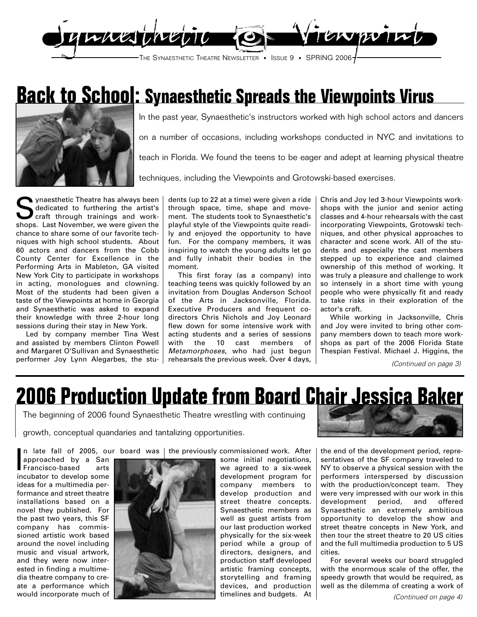

## **Back to School: Synaesthetic Spreads the Viewpoints Virus**



In the past year, Synaesthetic's instructors worked with high school actors and dancers

on a number of occasions, including workshops conducted in NYC and invitations to

teach in Florida. We found the teens to be eager and adept at learning physical theatre

techniques, including the Viewpoints and Grotowski-based exercises.

Synaesthetic Theatre has always been dedicated to furthering the artist's craft through trainings and workshops. Last November, we were given the chance to share some of our favorite techniques with high school students. About 60 actors and dancers from the Cobb County Center for Excellence in the Performing Arts in Mableton, GA visited New York City to participate in workshops in acting, monologues and clowning. Most of the students had been given a taste of the Viewpoints at home in Georgia and Synaesthetic was asked to expand their knowledge with three 2-hour long sessions during their stay in New York.

Led by company member Tina West and assisted by members Clinton Powell and Margaret O'Sullivan and Synaesthetic performer Joy Lynn Alegarbes, the stu-

dents (up to 22 at a time) were given a ride through space, time, shape and movement. The students took to Synaesthetic's playful style of the Viewpoints quite readily and enjoyed the opportunity to have fun. For the company members, it was inspiring to watch the young adults let go and fully inhabit their bodies in the moment.

This first foray (as a company) into teaching teens was quickly followed by an invitation from Douglas Anderson School of the Arts in Jacksonville, Florida. Executive Producers and frequent codirectors Chris Nichols and Joy Leonard flew down for some intensive work with acting students and a series of sessions with the 10 cast members of Metamorphoses, who had just begun rehearsals the previous week. Over 4 days, Chris and Joy led 3-hour Viewpoints workshops with the junior and senior acting classes and 4-hour rehearsals with the cast incorporating Viewpoints, Grotowski techniques, and other physical approaches to character and scene work. All of the students and especially the cast members stepped up to experience and claimed ownership of this method of working. It was truly a pleasure and challenge to work so intensely in a short time with young people who were physically fit and ready to take risks in their exploration of the actor's craft.

While working in Jacksonville, Chris and Joy were invited to bring other company members down to teach more workshops as part of the 2006 Florida State Thespian Festival. Michael J. Higgins, the

(Continued on page 3)

# **2006 Production Update from Board Chair Jessica Baker**

The beginning of 2006 found Synaesthetic Theatre wrestling with continuing

growth, conceptual quandaries and tantalizing opportunities.

n late fall of 2005, our board was | the previously commissioned work. After

n late fall of 2005, or<br>approached by a San<br>Francisco-based arts<br>incubator to develop some approached by a San incubator to develop some ideas for a multimedia performance and street theatre installations based on a novel they published. For the past two years, this SF company has commissioned artistic work based around the novel including music and visual artwork, and they were now interested in finding a multimedia theatre company to create a performance which would incorporate much of



some initial negotiations, we agreed to a six-week development program for company members to develop production and street theatre concepts. Synaesthetic members as well as guest artists from our last production worked physically for the six-week period while a group of directors, designers, and production staff developed artistic framing concepts, storytelling and framing devices, and production timelines and budgets. At



the end of the development period, representatives of the SF company traveled to NY to observe a physical session with the performers interspersed by discussion with the production/concept team. They were very impressed with our work in this development period, and offered Synaesthetic an extremely ambitious opportunity to develop the show and street theatre concepts in New York, and then tour the street theatre to 20 US cities and the full multimedia production to 5 US cities.

For several weeks our board struggled with the enormous scale of the offer, the speedy growth that would be required, as well as the dilemma of creating a work of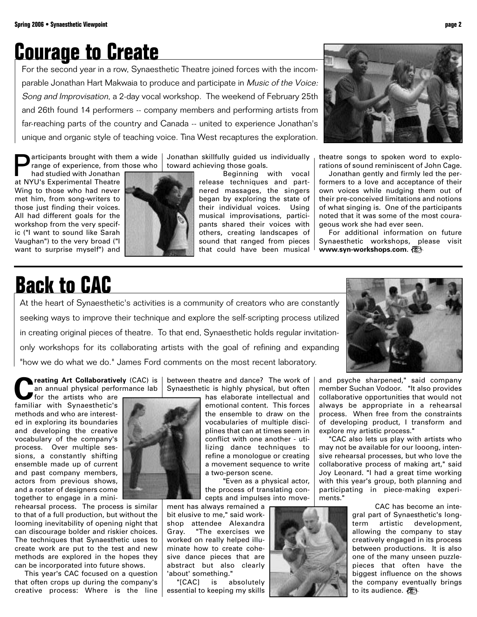# **Courage to Create**

For the second year in a row, Synaesthetic Theatre joined forces with the incomparable Jonathan Hart Makwaia to produce and participate in Music of the Voice: Song and Improvisation, a 2-day vocal workshop. The weekend of February 25th and 26th found 14 performers -- company members and performing artists from far-reaching parts of the country and Canada -- united to experience Jonathan's unique and organic style of teaching voice. Tina West recaptures the exploration.

Participants brought with them a wide<br>range of experience, from those who<br>had studied with Jonathan range of experience, from those who

had studied with Jonathan at NYU's Experimental Theatre Wing to those who had never met him, from song-writers to those just finding their voices. All had different goals for the workshop from the very specific ("I want to sound like Sarah Vaughan") to the very broad ("I want to surprise myself") and



Jonathan skillfully guided us individually toward achieving those goals.

> Beginning with vocal release techniques and partnered massages, the singers began by exploring the state of their individual voices. Using musical improvisations, participants shared their voices with others, creating landscapes of sound that ranged from pieces that could have been musical



theatre songs to spoken word to explorations of sound reminiscent of John Cage.

Jonathan gently and firmly led the performers to a love and acceptance of their own voices while nudging them out of their pre-conceived limitations and notions of what singing is. One of the participants noted that it was some of the most courageous work she had ever seen.

For additional information on future Synaesthetic workshops, please visit **www.syn-workshops.com**.

# **Back to CAC**

At the heart of Synaesthetic's activities is a community of creators who are constantly seeking ways to improve their technique and explore the self-scripting process utilized in creating original pieces of theatre. To that end, Synaesthetic holds regular invitationonly workshops for its collaborating artists with the goal of refining and expanding "how we do what we do." James Ford comments on the most recent laboratory.

**Creating Art Collaboratively** (CAC) is  $\vert$ an annual physical performance lab

for the artists who are familiar with Synaesthetic's methods and who are interested in exploring its boundaries and developing the creative vocabulary of the company's process. Over multiple sessions, a constantly shifting ensemble made up of current and past company members, actors from previous shows, and a roster of designers come together to engage in a mini-

rehearsal process. The process is similar to that of a full production, but without the looming inevitability of opening night that can discourage bolder and riskier choices. The techniques that Synaesthetic uses to create work are put to the test and new methods are explored in the hopes they can be incorporated into future shows.

This year's CAC focused on a question that often crops up during the company's creative process: Where is the line



between theatre and dance? The work of Synaesthetic is highly physical, but often

has elaborate intellectual and emotional content. This forces the ensemble to draw on the vocabularies of multiple disciplines that can at times seem in conflict with one another - utilizing dance techniques to refine a monologue or creating a movement sequence to write a two-person scene.

"Even as a physical actor, the process of translating concepts and impulses into move-

ment has always remained a bit elusive to me," said workshop attendee Alexandra Gray. "The exercises we worked on really helped illuminate how to create cohesive dance pieces that are abstract but also clearly 'about' something."

"[CAC] is absolutely essential to keeping my skills and psyche sharpened," said company member Suchan Vodoor. "It also provides collaborative opportunities that would not always be appropriate in a rehearsal process. When free from the constraints of developing product, I transform and explore my artistic process."

"CAC also lets us play with artists who may not be available for our looong, intensive rehearsal processes, but who love the collaborative process of making art," said Joy Leonard. "I had a great time working with this year's group, both planning and participating in piece-making experiments."

> CAC has become an integral part of Synaesthetic's longterm artistic development, allowing the company to stay creatively engaged in its process between productions. It is also one of the many unseen puzzlepieces that often have the biggest influence on the shows the company eventually brings to its audience.

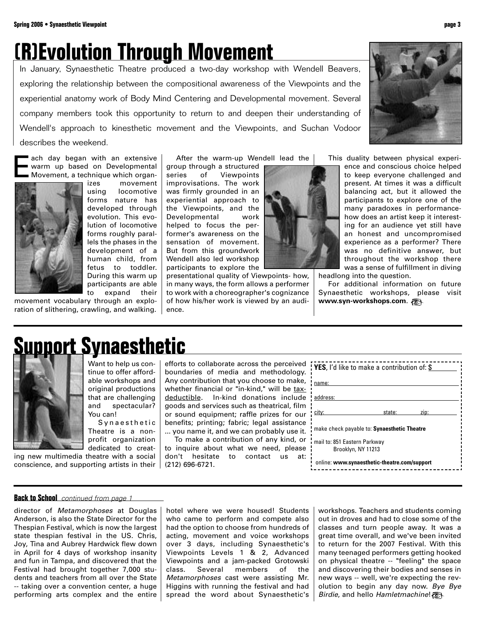# **(R)Evolution Through Movement**

In January, Synaesthetic Theatre produced a two-day workshop with Wendell Beavers, exploring the relationship between the compositional awareness of the Viewpoints and the experiential anatomy work of Body Mind Centering and Developmental movement. Several company members took this opportunity to return to and deepen their understanding of Wendell's approach to kinesthetic movement and the Viewpoints, and Suchan Vodoor describes the weekend.

• ach day began with an extensive<br>• warm up based on Developmental<br>• Movement, a technique which organwarm up based on Developmental Movement, a technique which organ-



movement using locomotive forms nature has developed through evolution. This evolution of locomotive forms roughly parallels the phases in the development of a human child, from fetus to toddler. During this warm up participants are able to expand their

movement vocabulary through an exploration of slithering, crawling, and walking.  $\vert$  After the warm-up Wendell lead the

group through a structured series of Viewpoints improvisations. The work was firmly grounded in an experiential approach to the Viewpoints, and the Developmental work helped to focus the performer's awareness on the sensation of movement. But from this groundwork Wendell also led workshop participants to explore the

presentational quality of Viewpoints- how, in many ways, the form allows a performer to work with a choreographer's cognizance of how his/her work is viewed by an audience.



This duality between physical experience and conscious choice helped to keep everyone challenged and present. At times it was a difficult balancing act, but it allowed the participants to explore one of the many paradoxes in performancehow does an artist keep it interesting for an audience yet still have an honest and uncompromised experience as a performer? There was no definitive answer, but throughout the workshop there was a sense of fulfillment in diving

headlong into the question.

For additional information on future Synaesthetic workshops, please visit **www.syn-workshops.com**.

## **Support Synaesthetic**



Want to help us continue to offer affordable workshops and original productions that are challenging and spectacular? You can!

Synaesthetic Theatre is a nonprofit organization dedicated to creat-

ing new multimedia theatre with a social conscience, and supporting artists in their

efforts to collaborate across the perceived boundaries of media and methodology. Any contribution that you choose to make, whether financial or "in-kind," will be taxdeductible. In-kind donations include goods and services such as theatrical, film or sound equipment; raffle prizes for our benefits; printing; fabric; legal assistance ... you name it, and we can probably use it.

To make a contribution of any kind, or to inquire about what we need, please don't hesitate to contact us at: (212) 696-6721.

| <b>YES, I'd like to make a contribution of: \$</b> |        |      |
|----------------------------------------------------|--------|------|
| name:                                              |        |      |
| address:                                           |        |      |
| city:                                              | state: | zip: |
| make check payable to: Synaesthetic Theatre        |        |      |
| mail to: 851 Eastern Parkway<br>Brooklyn, NY 11213 |        |      |
| online: www.synaesthetic-theatre.com/support       |        |      |

### **Back to School** continued from page 1

director of Metamorphoses at Douglas Anderson, is also the State Director for the Thespian Festival, which is now the largest state thespian festival in the US. Chris, Joy, Tina and Aubrey Hardwick flew down in April for 4 days of workshop insanity and fun in Tampa, and discovered that the Festival had brought together 7,000 students and teachers from all over the State -- taking over a convention center, a huge performing arts complex and the entire hotel where we were housed! Students who came to perform and compete also had the option to choose from hundreds of acting, movement and voice workshops over 3 days, including Synaesthetic's Viewpoints Levels 1 & 2, Advanced Viewpoints and a jam-packed Grotowski class. Several members of the Metamorphoses cast were assisting Mr. Higgins with running the festival and had spread the word about Synaesthetic's

workshops. Teachers and students coming out in droves and had to close some of the classes and turn people away. It was a great time overall, and we've been invited to return for the 2007 Festival. With this many teenaged performers getting hooked on physical theatre -- "feeling" the space and discovering their bodies and senses in new ways -- well, we're expecting the revolution to begin any day now. Bye Bye Birdie, and hello Hamletmachine!